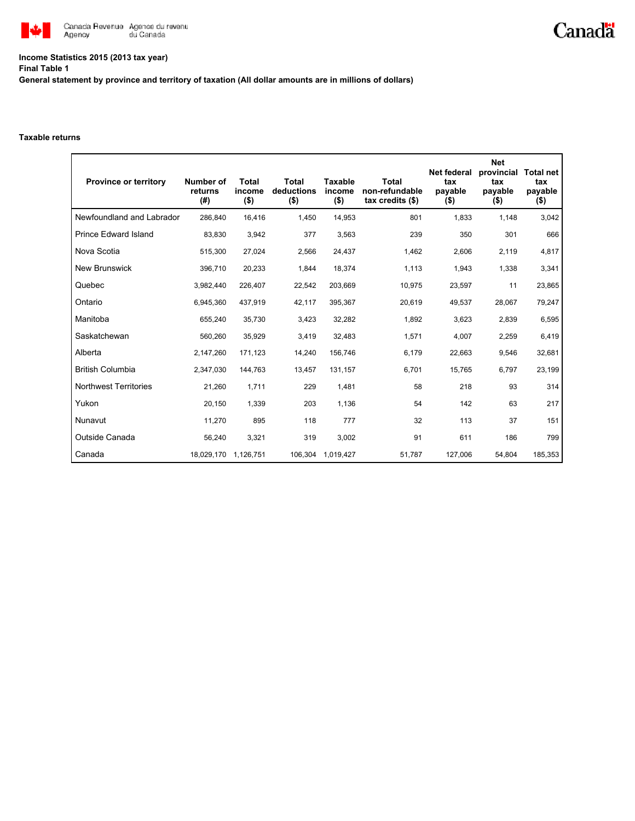

## **Income Statistics 2015 (2013 tax year) Final Table 1**

**General statement by province and territory of taxation (All dollar amounts are in millions of dollars)**

## **Taxable returns**

| <b>Province or territory</b> | Number of<br>returns<br>(#) | <b>Total</b><br>income<br>$($ \$) | Total<br>deductions<br>$($ \$) | Taxable<br>income<br>$($ \$) | Total<br>non-refundable<br>tax credits (\$) | Net federal<br>tax<br>payable<br>$($ \$) | <b>Net</b><br>provincial<br>tax<br>payable<br>$($ \$) | <b>Total net</b><br>tax<br>payable<br>$($ \$) |
|------------------------------|-----------------------------|-----------------------------------|--------------------------------|------------------------------|---------------------------------------------|------------------------------------------|-------------------------------------------------------|-----------------------------------------------|
| Newfoundland and Labrador    | 286.840                     | 16,416                            | 1,450                          | 14,953                       | 801                                         | 1,833                                    | 1,148                                                 | 3,042                                         |
| Prince Edward Island         | 83,830                      | 3,942                             | 377                            | 3,563                        | 239                                         | 350                                      | 301                                                   | 666                                           |
| Nova Scotia                  | 515,300                     | 27,024                            | 2,566                          | 24,437                       | 1,462                                       | 2,606                                    | 2,119                                                 | 4,817                                         |
| <b>New Brunswick</b>         | 396,710                     | 20,233                            | 1,844                          | 18,374                       | 1,113                                       | 1,943                                    | 1,338                                                 | 3,341                                         |
| Quebec                       | 3,982,440                   | 226,407                           | 22,542                         | 203,669                      | 10,975                                      | 23,597                                   | 11                                                    | 23,865                                        |
| Ontario                      | 6,945,360                   | 437,919                           | 42,117                         | 395,367                      | 20,619                                      | 49,537                                   | 28,067                                                | 79,247                                        |
| Manitoba                     | 655,240                     | 35,730                            | 3,423                          | 32,282                       | 1,892                                       | 3,623                                    | 2,839                                                 | 6,595                                         |
| Saskatchewan                 | 560,260                     | 35,929                            | 3,419                          | 32,483                       | 1,571                                       | 4,007                                    | 2,259                                                 | 6,419                                         |
| Alberta                      | 2,147,260                   | 171,123                           | 14,240                         | 156,746                      | 6,179                                       | 22,663                                   | 9,546                                                 | 32,681                                        |
| <b>British Columbia</b>      | 2,347,030                   | 144,763                           | 13.457                         | 131,157                      | 6.701                                       | 15.765                                   | 6.797                                                 | 23,199                                        |
| <b>Northwest Territories</b> | 21,260                      | 1,711                             | 229                            | 1,481                        | 58                                          | 218                                      | 93                                                    | 314                                           |
| Yukon                        | 20,150                      | 1,339                             | 203                            | 1,136                        | 54                                          | 142                                      | 63                                                    | 217                                           |
| Nunavut                      | 11,270                      | 895                               | 118                            | 777                          | 32                                          | 113                                      | 37                                                    | 151                                           |
| Outside Canada               | 56,240                      | 3,321                             | 319                            | 3,002                        | 91                                          | 611                                      | 186                                                   | 799                                           |
| Canada                       | 18,029,170 1,126,751        |                                   | 106,304                        | 1,019,427                    | 51,787                                      | 127,006                                  | 54,804                                                | 185,353                                       |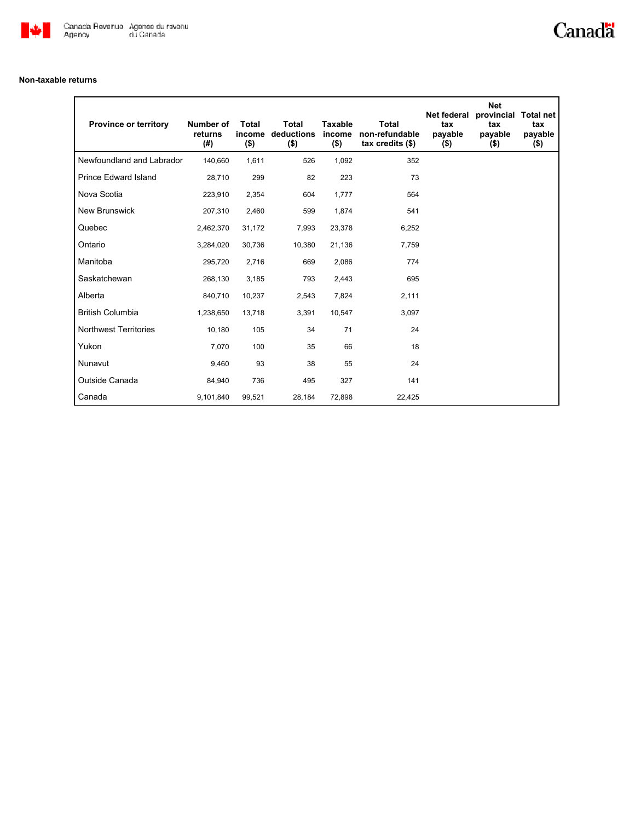

## **Non-taxable returns**

| <b>Province or territory</b> | Number of<br>returns<br>(#) | <b>Total</b><br>income<br>$($ \$) | <b>Total</b><br>deductions<br>$($ \$) | <b>Taxable</b><br>income<br>$($ \$) | <b>Total</b><br>non-refundable<br>$tax$ credits $(\$)$ | Net federal<br>tax<br>payable<br>\$) | <b>Net</b><br>provincial<br>tax<br>payable<br>$($ \$) | <b>Total net</b><br>tax<br>payable<br>$($ \$) |
|------------------------------|-----------------------------|-----------------------------------|---------------------------------------|-------------------------------------|--------------------------------------------------------|--------------------------------------|-------------------------------------------------------|-----------------------------------------------|
| Newfoundland and Labrador    | 140,660                     | 1,611                             | 526                                   | 1,092                               | 352                                                    |                                      |                                                       |                                               |
| <b>Prince Edward Island</b>  | 28,710                      | 299                               | 82                                    | 223                                 | 73                                                     |                                      |                                                       |                                               |
| Nova Scotia                  | 223,910                     | 2,354                             | 604                                   | 1,777                               | 564                                                    |                                      |                                                       |                                               |
| <b>New Brunswick</b>         | 207,310                     | 2,460                             | 599                                   | 1,874                               | 541                                                    |                                      |                                                       |                                               |
| Quebec                       | 2,462,370                   | 31,172                            | 7,993                                 | 23,378                              | 6,252                                                  |                                      |                                                       |                                               |
| Ontario                      | 3,284,020                   | 30,736                            | 10,380                                | 21,136                              | 7,759                                                  |                                      |                                                       |                                               |
| Manitoba                     | 295,720                     | 2,716                             | 669                                   | 2,086                               | 774                                                    |                                      |                                                       |                                               |
| Saskatchewan                 | 268,130                     | 3,185                             | 793                                   | 2,443                               | 695                                                    |                                      |                                                       |                                               |
| Alberta                      | 840,710                     | 10,237                            | 2,543                                 | 7,824                               | 2,111                                                  |                                      |                                                       |                                               |
| <b>British Columbia</b>      | 1,238,650                   | 13,718                            | 3,391                                 | 10,547                              | 3,097                                                  |                                      |                                                       |                                               |
| <b>Northwest Territories</b> | 10,180                      | 105                               | 34                                    | 71                                  | 24                                                     |                                      |                                                       |                                               |
| Yukon                        | 7.070                       | 100                               | 35                                    | 66                                  | 18                                                     |                                      |                                                       |                                               |
| Nunavut                      | 9,460                       | 93                                | 38                                    | 55                                  | 24                                                     |                                      |                                                       |                                               |
| Outside Canada               | 84,940                      | 736                               | 495                                   | 327                                 | 141                                                    |                                      |                                                       |                                               |
| Canada                       | 9,101,840                   | 99,521                            | 28,184                                | 72,898                              | 22,425                                                 |                                      |                                                       |                                               |